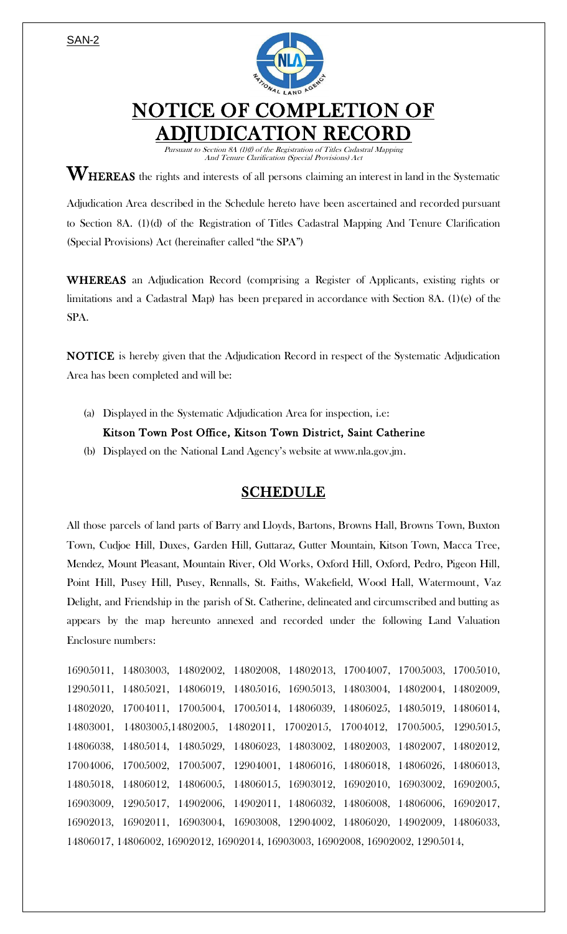

## NOTICE OF COMPLETION OF **TION RECORD**

Pursuant to Section 8A (1)(f) of the Registration of Titles Cadastral Mapping And Tenure Clarification (Special Provisions) Act

 $\mathbf{W}_{\text{HEREAS}}$  the rights and interests of all persons claiming an interest in land in the Systematic

Adjudication Area described in the Schedule hereto have been ascertained and recorded pursuant to Section 8A. (1)(d) of the Registration of Titles Cadastral Mapping And Tenure Clarification (Special Provisions) Act (hereinafter called "the SPA")

WHEREAS an Adjudication Record (comprising a Register of Applicants, existing rights or limitations and a Cadastral Map) has been prepared in accordance with Section 8A. (1)(e) of the SPA.

NOTICE is hereby given that the Adjudication Record in respect of the Systematic Adjudication Area has been completed and will be:

(a) Displayed in the Systematic Adjudication Area for inspection, i.e:

## Kitson Town Post Office, Kitson Town District, Saint Catherine

(b) Displayed on the National Land Agency's website at www.nla.gov.jm.

## SCHEDULE

All those parcels of land parts of Barry and Lloyds, Bartons, Browns Hall, Browns Town, Buxton Town, Cudjoe Hill, Duxes, Garden Hill, Guttaraz, Gutter Mountain, Kitson Town, Macca Tree, Mendez, Mount Pleasant, Mountain River, Old Works, Oxford Hill, Oxford, Pedro, Pigeon Hill, Point Hill, Pusey Hill, Pusey, Rennalls, St. Faiths, Wakefield, Wood Hall, Watermount, Vaz Delight, and Friendship in the parish of St. Catherine, delineated and circumscribed and butting as appears by the map hereunto annexed and recorded under the following Land Valuation Enclosure numbers:

16905011, 14803003, 14802002, 14802008, 14802013, 17004007, 17005003, 17005010, 12905011, 14805021, 14806019, 14805016, 16905013, 14803004, 14802004, 14802009, 14802020, 17004011, 17005004, 17005014, 14806039, 14806025, 14805019, 14806014, 14803001, 14803005,14802005, 14802011, 17002015, 17004012, 17005005, 12905015, 14806038, 14805014, 14805029, 14806023, 14803002, 14802003, 14802007, 14802012, 17004006, 17005002, 17005007, 12904001, 14806016, 14806018, 14806026, 14806013, 14805018, 14806012, 14806005, 14806015, 16903012, 16902010, 16903002, 16902005, 16903009, 12905017, 14902006, 14902011, 14806032, 14806008, 14806006, 16902017, 16902013, 16902011, 16903004, 16903008, 12904002, 14806020, 14902009, 14806033, 14806017, 14806002, 16902012, 16902014, 16903003, 16902008, 16902002, 12905014,